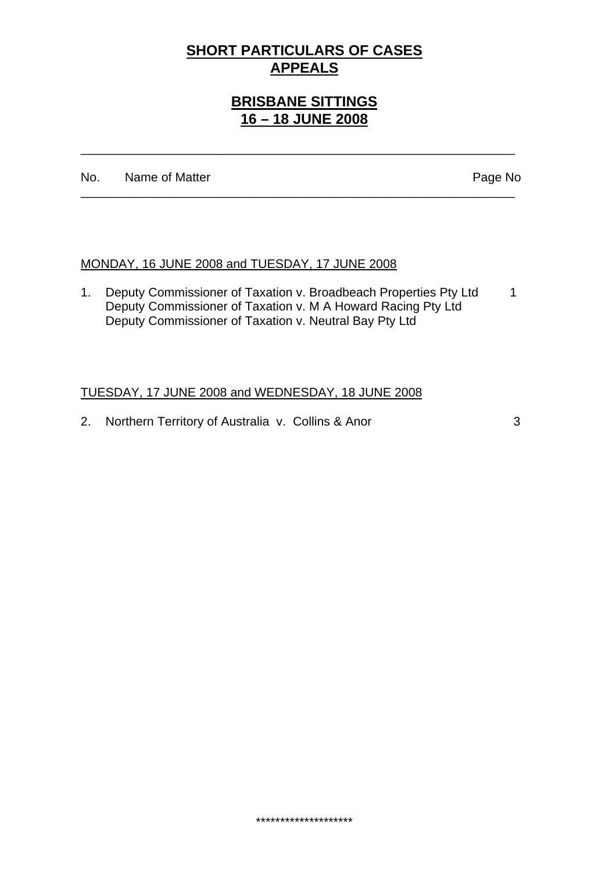# **SHORT PARTICULARS OF CASES APPEALS**

# **BRISBANE SITTINGS 16 – 18 JUNE 2008**

\_\_\_\_\_\_\_\_\_\_\_\_\_\_\_\_\_\_\_\_\_\_\_\_\_\_\_\_\_\_\_\_\_\_\_\_\_\_\_\_\_\_\_\_\_\_\_\_\_\_\_\_\_\_\_\_\_\_\_\_\_\_\_

\_\_\_\_\_\_\_\_\_\_\_\_\_\_\_\_\_\_\_\_\_\_\_\_\_\_\_\_\_\_\_\_\_\_\_\_\_\_\_\_\_\_\_\_\_\_\_\_\_\_\_\_\_\_\_\_\_\_\_\_\_\_\_

No. Name of Matter Page No

### MONDAY, 16 JUNE 2008 and TUESDAY, 17 JUNE 2008

1. Deputy Commissioner of Taxation v. Broadbeach Properties Pty Ltd 1 Deputy Commissioner of Taxation v. M A Howard Racing Pty Ltd Deputy Commissioner of Taxation v. Neutral Bay Pty Ltd

\*\*\*\*\*\*\*\*\*\*\*\*\*\*\*\*\*\*\*\*

### TUESDAY, 17 JUNE 2008 and WEDNESDAY, 18 JUNE 2008

2. Northern Territory of Australia v. Collins & Anor 3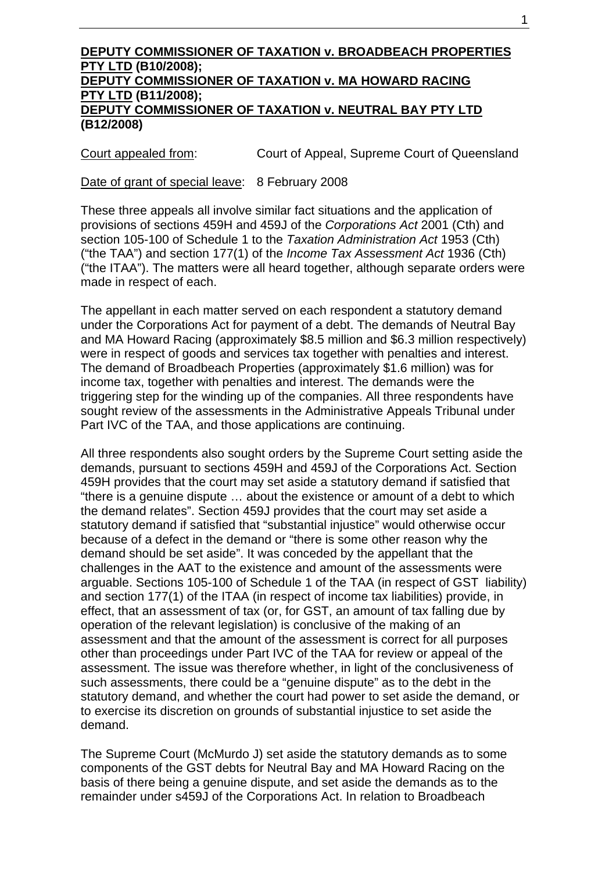#### **DEPUTY COMMISSIONER OF TAXATION v. BROADBEACH PROPERTIES PTY LTD (B10/2008); DEPUTY COMMISSIONER OF TAXATION v. MA HOWARD RACING PTY LTD (B11/2008); DEPUTY COMMISSIONER OF TAXATION v. NEUTRAL BAY PTY LTD (B12/2008)**

Court appealed from: Court of Appeal, Supreme Court of Queensland

Date of grant of special leave: 8 February 2008

These three appeals all involve similar fact situations and the application of provisions of sections 459H and 459J of the *Corporations Act* 2001 (Cth) and section 105-100 of Schedule 1 to the *Taxation Administration Act* 1953 (Cth) ("the TAA") and section 177(1) of the *Income Tax Assessment Act* 1936 (Cth) ("the ITAA"). The matters were all heard together, although separate orders were made in respect of each.

The appellant in each matter served on each respondent a statutory demand under the Corporations Act for payment of a debt. The demands of Neutral Bay and MA Howard Racing (approximately \$8.5 million and \$6.3 million respectively) were in respect of goods and services tax together with penalties and interest. The demand of Broadbeach Properties (approximately \$1.6 million) was for income tax, together with penalties and interest. The demands were the triggering step for the winding up of the companies. All three respondents have sought review of the assessments in the Administrative Appeals Tribunal under Part IVC of the TAA, and those applications are continuing.

All three respondents also sought orders by the Supreme Court setting aside the demands, pursuant to sections 459H and 459J of the Corporations Act. Section 459H provides that the court may set aside a statutory demand if satisfied that "there is a genuine dispute … about the existence or amount of a debt to which the demand relates". Section 459J provides that the court may set aside a statutory demand if satisfied that "substantial injustice" would otherwise occur because of a defect in the demand or "there is some other reason why the demand should be set aside". It was conceded by the appellant that the challenges in the AAT to the existence and amount of the assessments were arguable. Sections 105-100 of Schedule 1 of the TAA (in respect of GST liability) and section 177(1) of the ITAA (in respect of income tax liabilities) provide, in effect, that an assessment of tax (or, for GST, an amount of tax falling due by operation of the relevant legislation) is conclusive of the making of an assessment and that the amount of the assessment is correct for all purposes other than proceedings under Part IVC of the TAA for review or appeal of the assessment. The issue was therefore whether, in light of the conclusiveness of such assessments, there could be a "genuine dispute" as to the debt in the statutory demand, and whether the court had power to set aside the demand, or to exercise its discretion on grounds of substantial injustice to set aside the demand.

The Supreme Court (McMurdo J) set aside the statutory demands as to some components of the GST debts for Neutral Bay and MA Howard Racing on the basis of there being a genuine dispute, and set aside the demands as to the remainder under s459J of the Corporations Act. In relation to Broadbeach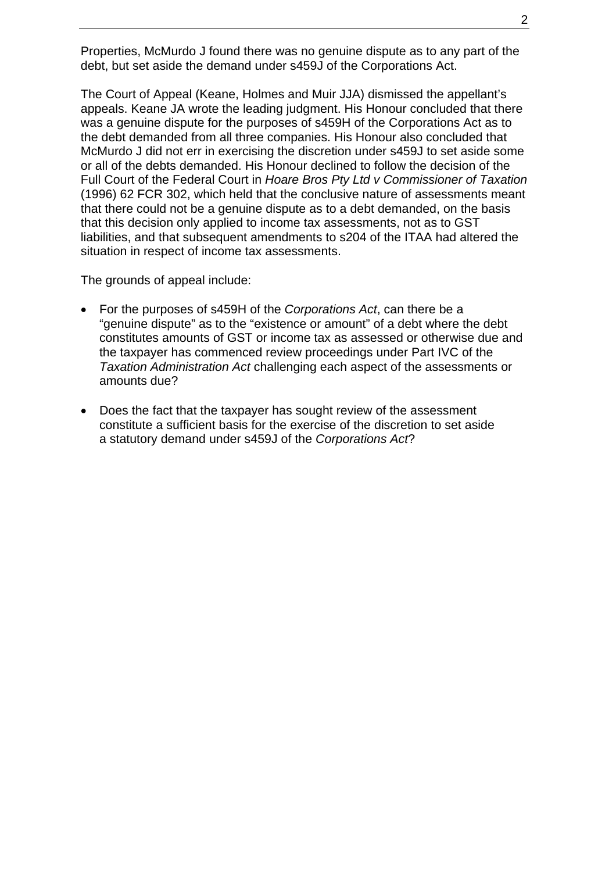Properties, McMurdo J found there was no genuine dispute as to any part of the debt, but set aside the demand under s459J of the Corporations Act.

The Court of Appeal (Keane, Holmes and Muir JJA) dismissed the appellant's appeals. Keane JA wrote the leading judgment. His Honour concluded that there was a genuine dispute for the purposes of s459H of the Corporations Act as to the debt demanded from all three companies. His Honour also concluded that McMurdo J did not err in exercising the discretion under s459J to set aside some or all of the debts demanded. His Honour declined to follow the decision of the Full Court of the Federal Court in *Hoare Bros Pty Ltd v Commissioner of Taxation* (1996) 62 FCR 302, which held that the conclusive nature of assessments meant that there could not be a genuine dispute as to a debt demanded, on the basis that this decision only applied to income tax assessments, not as to GST liabilities, and that subsequent amendments to s204 of the ITAA had altered the situation in respect of income tax assessments.

The grounds of appeal include:

- For the purposes of s459H of the *Corporations Act*, can there be a "genuine dispute" as to the "existence or amount" of a debt where the debt constitutes amounts of GST or income tax as assessed or otherwise due and the taxpayer has commenced review proceedings under Part IVC of the *Taxation Administration Act* challenging each aspect of the assessments or amounts due?
- Does the fact that the taxpayer has sought review of the assessment constitute a sufficient basis for the exercise of the discretion to set aside a statutory demand under s459J of the *Corporations Act*?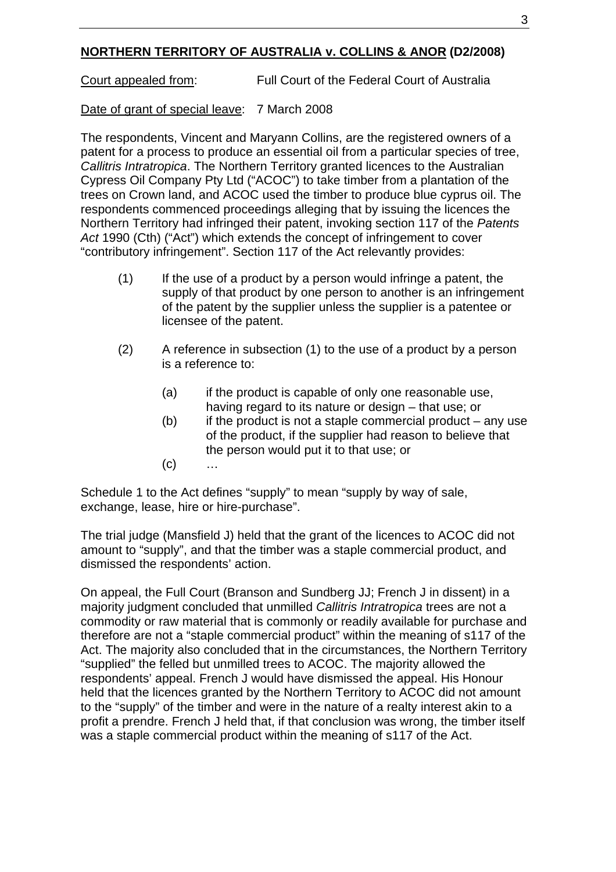## **NORTHERN TERRITORY OF AUSTRALIA v. COLLINS & ANOR (D2/2008)**

Court appealed from: Full Court of the Federal Court of Australia

## Date of grant of special leave: 7 March 2008

The respondents, Vincent and Maryann Collins, are the registered owners of a patent for a process to produce an essential oil from a particular species of tree, *Callitris Intratropica*. The Northern Territory granted licences to the Australian Cypress Oil Company Pty Ltd ("ACOC") to take timber from a plantation of the trees on Crown land, and ACOC used the timber to produce blue cyprus oil. The respondents commenced proceedings alleging that by issuing the licences the Northern Territory had infringed their patent, invoking section 117 of the *Patents Act* 1990 (Cth) ("Act") which extends the concept of infringement to cover "contributory infringement". Section 117 of the Act relevantly provides:

- (1) If the use of a product by a person would infringe a patent, the supply of that product by one person to another is an infringement of the patent by the supplier unless the supplier is a patentee or licensee of the patent.
- (2) A reference in subsection (1) to the use of a product by a person is a reference to:
	- (a) if the product is capable of only one reasonable use, having regard to its nature or design – that use; or
	- $(b)$  if the product is not a staple commercial product any use of the product, if the supplier had reason to believe that the person would put it to that use; or
	- $(c)$  …

Schedule 1 to the Act defines "supply" to mean "supply by way of sale, exchange, lease, hire or hire-purchase".

The trial judge (Mansfield J) held that the grant of the licences to ACOC did not amount to "supply", and that the timber was a staple commercial product, and dismissed the respondents' action.

On appeal, the Full Court (Branson and Sundberg JJ; French J in dissent) in a majority judgment concluded that unmilled *Callitris Intratropica* trees are not a commodity or raw material that is commonly or readily available for purchase and therefore are not a "staple commercial product" within the meaning of s117 of the Act. The majority also concluded that in the circumstances, the Northern Territory "supplied" the felled but unmilled trees to ACOC. The majority allowed the respondents' appeal. French J would have dismissed the appeal. His Honour held that the licences granted by the Northern Territory to ACOC did not amount to the "supply" of the timber and were in the nature of a realty interest akin to a profit a prendre. French J held that, if that conclusion was wrong, the timber itself was a staple commercial product within the meaning of s117 of the Act.